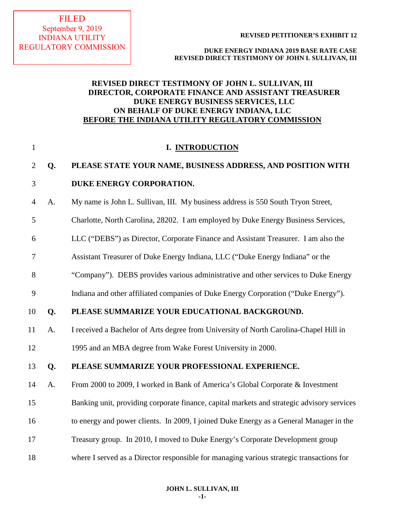# **DUKE ENERGY INDIANA 2019 BASE RATE CASE REVISED DIRECT TESTIMONY OF JOHN L SULLIVAN, III**

# **REVISED DIRECT TESTIMONY OF JOHN L. SULLIVAN, III DIRECTOR, CORPORATE FINANCE AND ASSISTANT TREASURER DUKE ENERGY BUSINESS SERVICES, LLC ON BEHALF OF DUKE ENERGY INDIANA, LLC BEFORE THE INDIANA UTILITY REGULATORY COMMISSION**

| $\mathbf{1}$   |    | I. INTRODUCTION                                                                            |
|----------------|----|--------------------------------------------------------------------------------------------|
| $\overline{2}$ | Q. | PLEASE STATE YOUR NAME, BUSINESS ADDRESS, AND POSITION WITH                                |
| 3              |    | DUKE ENERGY CORPORATION.                                                                   |
| $\overline{4}$ | A. | My name is John L. Sullivan, III. My business address is 550 South Tryon Street,           |
| 5              |    | Charlotte, North Carolina, 28202. I am employed by Duke Energy Business Services,          |
| 6              |    | LLC ("DEBS") as Director, Corporate Finance and Assistant Treasurer. I am also the         |
| 7              |    | Assistant Treasurer of Duke Energy Indiana, LLC ("Duke Energy Indiana" or the              |
| 8              |    | "Company"). DEBS provides various administrative and other services to Duke Energy         |
| 9              |    | Indiana and other affiliated companies of Duke Energy Corporation ("Duke Energy").         |
| 10             | Q. | PLEASE SUMMARIZE YOUR EDUCATIONAL BACKGROUND.                                              |
| 11             | A. | I received a Bachelor of Arts degree from University of North Carolina-Chapel Hill in      |
| 12             |    | 1995 and an MBA degree from Wake Forest University in 2000.                                |
| 13             | Q. | PLEASE SUMMARIZE YOUR PROFESSIONAL EXPERIENCE.                                             |
| 14             | A. | From 2000 to 2009, I worked in Bank of America's Global Corporate & Investment             |
| 15             |    | Banking unit, providing corporate finance, capital markets and strategic advisory services |
| 16             |    | to energy and power clients. In 2009, I joined Duke Energy as a General Manager in the     |
| 17             |    | Treasury group. In 2010, I moved to Duke Energy's Corporate Development group              |
| 18             |    | where I served as a Director responsible for managing various strategic transactions for   |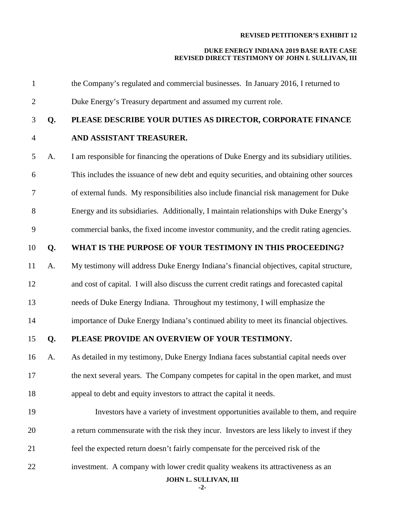# **DUKE ENERGY INDIANA 2019 BASE RATE CASE REVISED DIRECT TESTIMONY OF JOHN L SULLIVAN, III**

| $\mathbf{1}$   |    | the Company's regulated and commercial businesses. In January 2016, I returned to           |
|----------------|----|---------------------------------------------------------------------------------------------|
| $\overline{2}$ |    | Duke Energy's Treasury department and assumed my current role.                              |
| 3              | Q. | PLEASE DESCRIBE YOUR DUTIES AS DIRECTOR, CORPORATE FINANCE                                  |
| $\overline{4}$ |    | AND ASSISTANT TREASURER.                                                                    |
| 5              | A. | I am responsible for financing the operations of Duke Energy and its subsidiary utilities.  |
| 6              |    | This includes the issuance of new debt and equity securities, and obtaining other sources   |
| $\tau$         |    | of external funds. My responsibilities also include financial risk management for Duke      |
| 8              |    | Energy and its subsidiaries. Additionally, I maintain relationships with Duke Energy's      |
| 9              |    | commercial banks, the fixed income investor community, and the credit rating agencies.      |
| 10             | Q. | WHAT IS THE PURPOSE OF YOUR TESTIMONY IN THIS PROCEEDING?                                   |
| 11             | A. | My testimony will address Duke Energy Indiana's financial objectives, capital structure,    |
| 12             |    | and cost of capital. I will also discuss the current credit ratings and forecasted capital  |
| 13             |    | needs of Duke Energy Indiana. Throughout my testimony, I will emphasize the                 |
| 14             |    | importance of Duke Energy Indiana's continued ability to meet its financial objectives.     |
| 15             | Q. | PLEASE PROVIDE AN OVERVIEW OF YOUR TESTIMONY.                                               |
| 16             | A. | As detailed in my testimony, Duke Energy Indiana faces substantial capital needs over       |
| 17             |    | the next several years. The Company competes for capital in the open market, and must       |
| 18             |    | appeal to debt and equity investors to attract the capital it needs.                        |
| 19             |    | Investors have a variety of investment opportunities available to them, and require         |
| 20             |    | a return commensurate with the risk they incur. Investors are less likely to invest if they |
| 21             |    | feel the expected return doesn't fairly compensate for the perceived risk of the            |
| 22             |    | investment. A company with lower credit quality weakens its attractiveness as an            |
|                |    | JOHN L. SULLIVAN, III                                                                       |

**-2-**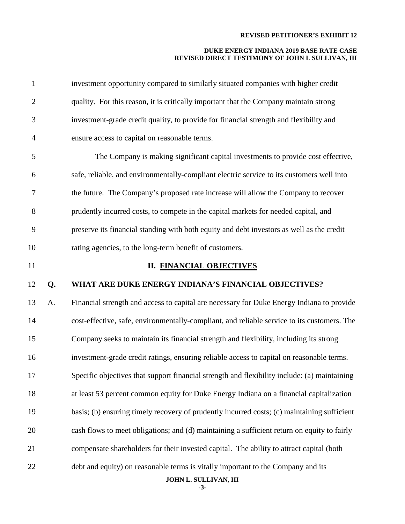# **DUKE ENERGY INDIANA 2019 BASE RATE CASE REVISED DIRECT TESTIMONY OF JOHN L SULLIVAN, III**

| $\mathbf{1}$   |    | investment opportunity compared to similarly situated companies with higher credit           |
|----------------|----|----------------------------------------------------------------------------------------------|
| $\overline{2}$ |    | quality. For this reason, it is critically important that the Company maintain strong        |
| 3              |    | investment-grade credit quality, to provide for financial strength and flexibility and       |
| $\overline{4}$ |    | ensure access to capital on reasonable terms.                                                |
| 5              |    | The Company is making significant capital investments to provide cost effective,             |
| 6              |    | safe, reliable, and environmentally-compliant electric service to its customers well into    |
| 7              |    | the future. The Company's proposed rate increase will allow the Company to recover           |
| 8              |    | prudently incurred costs, to compete in the capital markets for needed capital, and          |
| 9              |    | preserve its financial standing with both equity and debt investors as well as the credit    |
| 10             |    | rating agencies, to the long-term benefit of customers.                                      |
| 11             |    | <b>II. FINANCIAL OBJECTIVES</b>                                                              |
| 12             | Q. | WHAT ARE DUKE ENERGY INDIANA'S FINANCIAL OBJECTIVES?                                         |
| 13             | A. | Financial strength and access to capital are necessary for Duke Energy Indiana to provide    |
| 14             |    | cost-effective, safe, environmentally-compliant, and reliable service to its customers. The  |
| 15             |    | Company seeks to maintain its financial strength and flexibility, including its strong       |
| 16             |    | investment-grade credit ratings, ensuring reliable access to capital on reasonable terms.    |
| 17             |    | Specific objectives that support financial strength and flexibility include: (a) maintaining |
| 18             |    | at least 53 percent common equity for Duke Energy Indiana on a financial capitalization      |
| 19             |    | basis; (b) ensuring timely recovery of prudently incurred costs; (c) maintaining sufficient  |
| 20             |    | cash flows to meet obligations; and (d) maintaining a sufficient return on equity to fairly  |
| 21             |    | compensate shareholders for their invested capital. The ability to attract capital (both     |
| 22             |    | debt and equity) on reasonable terms is vitally important to the Company and its             |

**-3-**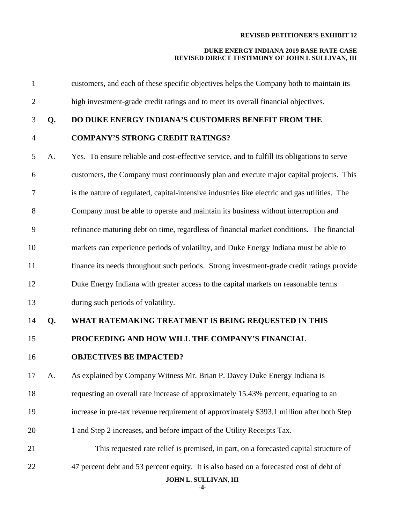# **DUKE ENERGY INDIANA 2019 BASE RATE CASE REVISED DIRECT TESTIMONY OF JOHN L SULLIVAN, III**

| $\mathbf{1}$   |    | customers, and each of these specific objectives helps the Company both to maintain its                          |
|----------------|----|------------------------------------------------------------------------------------------------------------------|
| $\mathbf{2}$   |    | high investment-grade credit ratings and to meet its overall financial objectives.                               |
| 3              | Q. | DO DUKE ENERGY INDIANA'S CUSTOMERS BENEFIT FROM THE                                                              |
| $\overline{4}$ |    | <b>COMPANY'S STRONG CREDIT RATINGS?</b>                                                                          |
| 5              | A. | Yes. To ensure reliable and cost-effective service, and to fulfill its obligations to serve                      |
| 6              |    | customers, the Company must continuously plan and execute major capital projects. This                           |
| 7              |    | is the nature of regulated, capital-intensive industries like electric and gas utilities. The                    |
| $8\,$          |    | Company must be able to operate and maintain its business without interruption and                               |
| 9              |    | refinance maturing debt on time, regardless of financial market conditions. The financial                        |
| 10             |    | markets can experience periods of volatility, and Duke Energy Indiana must be able to                            |
| 11             |    | finance its needs throughout such periods. Strong investment-grade credit ratings provide                        |
| 12             |    | Duke Energy Indiana with greater access to the capital markets on reasonable terms                               |
| 13             |    | during such periods of volatility.                                                                               |
| 14             | Q. | WHAT RATEMAKING TREATMENT IS BEING REQUESTED IN THIS                                                             |
| 15             |    | PROCEEDING AND HOW WILL THE COMPANY'S FINANCIAL                                                                  |
| 16             |    | <b>OBJECTIVES BE IMPACTED?</b>                                                                                   |
| 17             | A. | As explained by Company Witness Mr. Brian P. Davey Duke Energy Indiana is                                        |
| 18             |    | requesting an overall rate increase of approximately 15.43% percent, equating to an                              |
| 19             |    | increase in pre-tax revenue requirement of approximately \$393.1 million after both Step                         |
| 20             |    | 1 and Step 2 increases, and before impact of the Utility Receipts Tax.                                           |
| 21             |    | This requested rate relief is premised, in part, on a forecasted capital structure of                            |
| 22             |    | 47 percent debt and 53 percent equity. It is also based on a forecasted cost of debt of<br>JOHN L. SULLIVAN, III |

**-4-**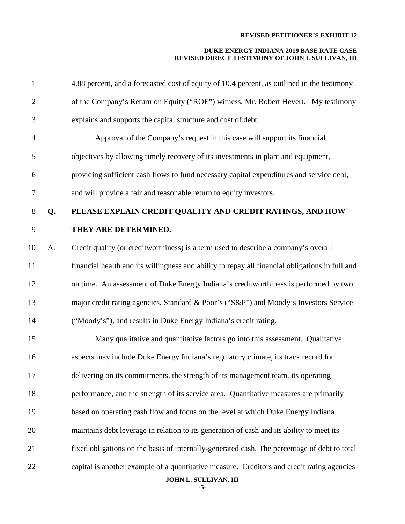# **DUKE ENERGY INDIANA 2019 BASE RATE CASE REVISED DIRECT TESTIMONY OF JOHN L SULLIVAN, III**

| $\mathbf{1}$   |    | 4.88 percent, and a forecasted cost of equity of 10.4 percent, as outlined in the testimony     |
|----------------|----|-------------------------------------------------------------------------------------------------|
| $\overline{2}$ |    | of the Company's Return on Equity ("ROE") witness, Mr. Robert Hevert. My testimony              |
| $\mathfrak{Z}$ |    | explains and supports the capital structure and cost of debt.                                   |
| $\overline{4}$ |    | Approval of the Company's request in this case will support its financial                       |
| 5              |    | objectives by allowing timely recovery of its investments in plant and equipment,               |
| 6              |    | providing sufficient cash flows to fund necessary capital expenditures and service debt,        |
| $\tau$         |    | and will provide a fair and reasonable return to equity investors.                              |
| $8\,$          | Q. | PLEASE EXPLAIN CREDIT QUALITY AND CREDIT RATINGS, AND HOW                                       |
| 9              |    | THEY ARE DETERMINED.                                                                            |
| 10             | A. | Credit quality (or creditworthiness) is a term used to describe a company's overall             |
| 11             |    | financial health and its willingness and ability to repay all financial obligations in full and |
| 12             |    | on time. An assessment of Duke Energy Indiana's creditworthiness is performed by two            |
| 13             |    | major credit rating agencies, Standard & Poor's ("S&P") and Moody's Investors Service           |
| 14             |    | ("Moody's"), and results in Duke Energy Indiana's credit rating.                                |
| 15             |    | Many qualitative and quantitative factors go into this assessment. Qualitative                  |
| 16             |    | aspects may include Duke Energy Indiana's regulatory climate, its track record for              |
| 17             |    | delivering on its commitments, the strength of its management team, its operating               |
| 18             |    | performance, and the strength of its service area. Quantitative measures are primarily          |
| 19             |    | based on operating cash flow and focus on the level at which Duke Energy Indiana                |
| 20             |    | maintains debt leverage in relation to its generation of cash and its ability to meet its       |
| 21             |    | fixed obligations on the basis of internally-generated cash. The percentage of debt to total    |
| 22             |    | capital is another example of a quantitative measure. Creditors and credit rating agencies      |
|                |    | JOHN L. SULLIVAN, III                                                                           |

**-5-**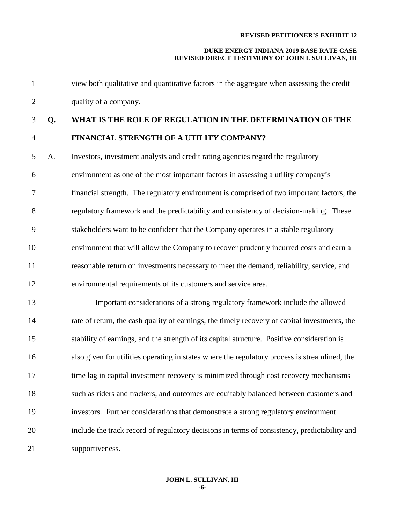| $\mathbf{1}$   |    | view both qualitative and quantitative factors in the aggregate when assessing the credit     |
|----------------|----|-----------------------------------------------------------------------------------------------|
| $\overline{2}$ |    | quality of a company.                                                                         |
| 3              | Q. | WHAT IS THE ROLE OF REGULATION IN THE DETERMINATION OF THE                                    |
| $\overline{4}$ |    | FINANCIAL STRENGTH OF A UTILITY COMPANY?                                                      |
| 5              | A. | Investors, investment analysts and credit rating agencies regard the regulatory               |
| 6              |    | environment as one of the most important factors in assessing a utility company's             |
| 7              |    | financial strength. The regulatory environment is comprised of two important factors, the     |
| 8              |    | regulatory framework and the predictability and consistency of decision-making. These         |
| 9              |    | stakeholders want to be confident that the Company operates in a stable regulatory            |
| 10             |    | environment that will allow the Company to recover prudently incurred costs and earn a        |
| 11             |    | reasonable return on investments necessary to meet the demand, reliability, service, and      |
| 12             |    | environmental requirements of its customers and service area.                                 |
| 13             |    | Important considerations of a strong regulatory framework include the allowed                 |
| 14             |    | rate of return, the cash quality of earnings, the timely recovery of capital investments, the |
| 15             |    | stability of earnings, and the strength of its capital structure. Positive consideration is   |
| 16             |    | also given for utilities operating in states where the regulatory process is streamlined, the |
| 17             |    | time lag in capital investment recovery is minimized through cost recovery mechanisms         |
| 18             |    | such as riders and trackers, and outcomes are equitably balanced between customers and        |
| 19             |    | investors. Further considerations that demonstrate a strong regulatory environment            |
| 20             |    | include the track record of regulatory decisions in terms of consistency, predictability and  |
| 21             |    | supportiveness.                                                                               |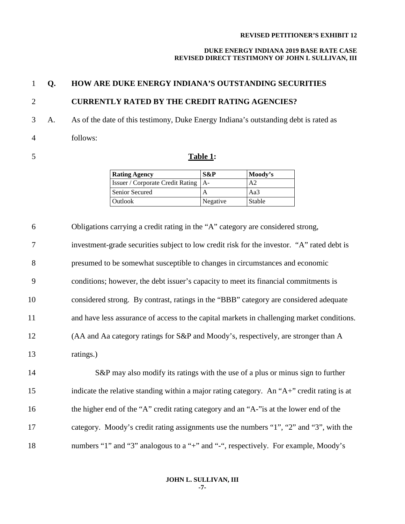#### **DUKE ENERGY INDIANA 2019 BASE RATE CASE REVISED DIRECT TESTIMONY OF JOHN L SULLIVAN, III**

# **Q. HOW ARE DUKE ENERGY INDIANA'S OUTSTANDING SECURITIES**

# **CURRENTLY RATED BY THE CREDIT RATING AGENCIES?**

 A. As of the date of this testimony, Duke Energy Indiana's outstanding debt is rated as follows:

# **Table 1:**

| <b>Rating Agency</b>                         | $S\&P$   | Moody's        |
|----------------------------------------------|----------|----------------|
| <b>Issuer / Corporate Credit Rating   A-</b> |          | A <sub>2</sub> |
| Senior Secured                               | A        | Aa3            |
| Outlook                                      | Negative | Stable         |

 Obligations carrying a credit rating in the "A" category are considered strong, investment-grade securities subject to low credit risk for the investor. "A" rated debt is presumed to be somewhat susceptible to changes in circumstances and economic conditions; however, the debt issuer's capacity to meet its financial commitments is considered strong. By contrast, ratings in the "BBB" category are considered adequate and have less assurance of access to the capital markets in challenging market conditions. (AA and Aa category ratings for S&P and Moody's, respectively, are stronger than A ratings.) S&P may also modify its ratings with the use of a plus or minus sign to further indicate the relative standing within a major rating category. An "A+" credit rating is at

16 the higher end of the "A" credit rating category and an "A-"is at the lower end of the category. Moody's credit rating assignments use the numbers "1", "2" and "3", with the numbers "1" and "3" analogous to a "+" and "-", respectively. For example, Moody's

> **JOHN L. SULLIVAN, III -7-**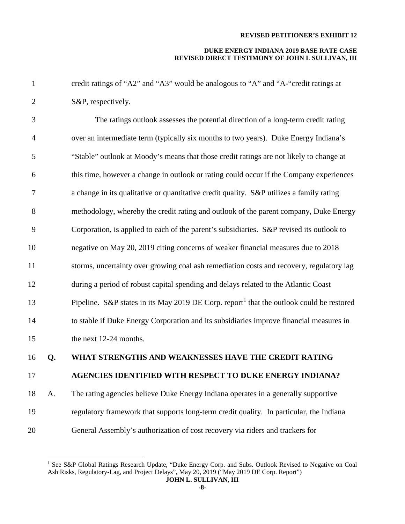| 1              |    | credit ratings of "A2" and "A3" would be analogous to "A" and "A-"credit ratings at                  |
|----------------|----|------------------------------------------------------------------------------------------------------|
| $\mathbf{2}$   |    | S&P, respectively.                                                                                   |
| 3              |    | The ratings outlook assesses the potential direction of a long-term credit rating                    |
| $\overline{4}$ |    | over an intermediate term (typically six months to two years). Duke Energy Indiana's                 |
| 5              |    | "Stable" outlook at Moody's means that those credit ratings are not likely to change at              |
| 6              |    | this time, however a change in outlook or rating could occur if the Company experiences              |
| 7              |    | a change in its qualitative or quantitative credit quality. S&P utilizes a family rating             |
| 8              |    | methodology, whereby the credit rating and outlook of the parent company, Duke Energy                |
| 9              |    | Corporation, is applied to each of the parent's subsidiaries. S&P revised its outlook to             |
| 10             |    | negative on May 20, 2019 citing concerns of weaker financial measures due to 2018                    |
| 11             |    | storms, uncertainty over growing coal ash remediation costs and recovery, regulatory lag             |
| 12             |    | during a period of robust capital spending and delays related to the Atlantic Coast                  |
| 13             |    | Pipeline. S&P states in its May 2019 DE Corp. report <sup>1</sup> that the outlook could be restored |
| 14             |    | to stable if Duke Energy Corporation and its subsidiaries improve financial measures in              |
| 15             |    | the next 12-24 months.                                                                               |
| 16             | Q. | WHAT STRENGTHS AND WEAKNESSES HAVE THE CREDIT RATING                                                 |
| 17             |    | AGENCIES IDENTIFIED WITH RESPECT TO DUKE ENERGY INDIANA?                                             |
| 18             | A. | The rating agencies believe Duke Energy Indiana operates in a generally supportive                   |
| 19             |    | regulatory framework that supports long-term credit quality. In particular, the Indiana              |
| 20             |    | General Assembly's authorization of cost recovery via riders and trackers for                        |

<span id="page-7-0"></span><sup>1</sup> See S&P Global Ratings Research Update, "Duke Energy Corp. and Subs. Outlook Revised to Negative on Coal Ash Risks, Regulatory-Lag, and Project Delays", May 20, 2019 ("May 2019 DE Corp. Report")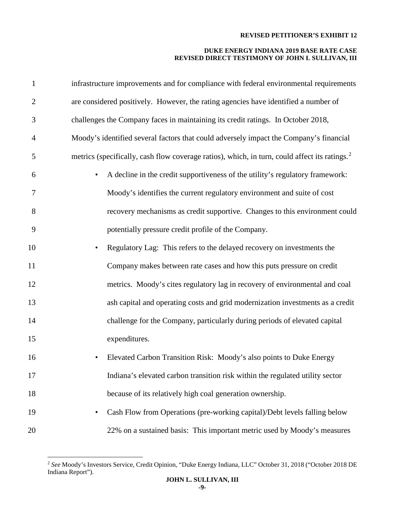| $\mathbf{1}$   | infrastructure improvements and for compliance with federal environmental requirements                    |
|----------------|-----------------------------------------------------------------------------------------------------------|
| $\overline{2}$ | are considered positively. However, the rating agencies have identified a number of                       |
| 3              | challenges the Company faces in maintaining its credit ratings. In October 2018,                          |
| 4              | Moody's identified several factors that could adversely impact the Company's financial                    |
| 5              | metrics (specifically, cash flow coverage ratios), which, in turn, could affect its ratings. <sup>2</sup> |
| 6              | A decline in the credit supportiveness of the utility's regulatory framework:<br>$\bullet$                |
| 7              | Moody's identifies the current regulatory environment and suite of cost                                   |
| 8              | recovery mechanisms as credit supportive. Changes to this environment could                               |
| 9              | potentially pressure credit profile of the Company.                                                       |
| 10             | Regulatory Lag: This refers to the delayed recovery on investments the<br>$\bullet$                       |
| 11             | Company makes between rate cases and how this puts pressure on credit                                     |
| 12             | metrics. Moody's cites regulatory lag in recovery of environmental and coal                               |
| 13             | ash capital and operating costs and grid modernization investments as a credit                            |
| 14             | challenge for the Company, particularly during periods of elevated capital                                |
| 15             | expenditures.                                                                                             |
| 16             | Elevated Carbon Transition Risk: Moody's also points to Duke Energy<br>$\bullet$                          |
| 17             | Indiana's elevated carbon transition risk within the regulated utility sector                             |
| 18             | because of its relatively high coal generation ownership.                                                 |
| 19             | Cash Flow from Operations (pre-working capital)/Debt levels falling below<br>$\bullet$                    |
| 20             | 22% on a sustained basis: This important metric used by Moody's measures                                  |

<span id="page-8-0"></span> *See* Moody's Investors Service, Credit Opinion, "Duke Energy Indiana, LLC" October 31, 2018 ("October 2018 DE Indiana Report").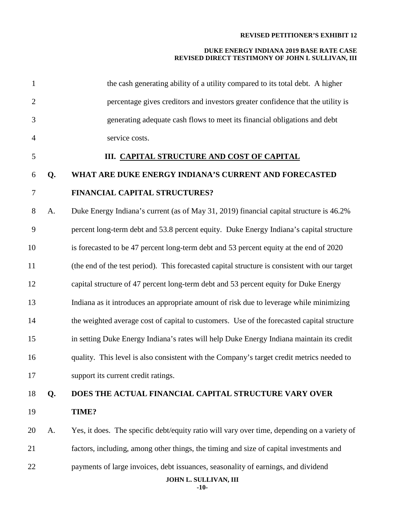| $\mathbf{1}$   |    | the cash generating ability of a utility compared to its total debt. A higher                              |
|----------------|----|------------------------------------------------------------------------------------------------------------|
| $\overline{2}$ |    | percentage gives creditors and investors greater confidence that the utility is                            |
| 3              |    | generating adequate cash flows to meet its financial obligations and debt                                  |
| $\overline{4}$ |    | service costs.                                                                                             |
| 5              |    | III. CAPITAL STRUCTURE AND COST OF CAPITAL                                                                 |
| 6              | Q. | WHAT ARE DUKE ENERGY INDIANA'S CURRENT AND FORECASTED                                                      |
| $\tau$         |    | FINANCIAL CAPITAL STRUCTURES?                                                                              |
| 8              | A. | Duke Energy Indiana's current (as of May 31, 2019) financial capital structure is 46.2%                    |
| 9              |    | percent long-term debt and 53.8 percent equity. Duke Energy Indiana's capital structure                    |
| 10             |    | is forecasted to be 47 percent long-term debt and 53 percent equity at the end of 2020                     |
| 11             |    | (the end of the test period). This forecasted capital structure is consistent with our target              |
| 12             |    | capital structure of 47 percent long-term debt and 53 percent equity for Duke Energy                       |
| 13             |    | Indiana as it introduces an appropriate amount of risk due to leverage while minimizing                    |
| 14             |    | the weighted average cost of capital to customers. Use of the forecasted capital structure                 |
| 15             |    | in setting Duke Energy Indiana's rates will help Duke Energy Indiana maintain its credit                   |
| 16             |    | quality. This level is also consistent with the Company's target credit metrics needed to                  |
| 17             |    | support its current credit ratings.                                                                        |
| 18             | Q. | DOES THE ACTUAL FINANCIAL CAPITAL STRUCTURE VARY OVER                                                      |
| 19             |    | TIME?                                                                                                      |
| 20             | A. | Yes, it does. The specific debt/equity ratio will vary over time, depending on a variety of                |
| 21             |    | factors, including, among other things, the timing and size of capital investments and                     |
| 22             |    | payments of large invoices, debt issuances, seasonality of earnings, and dividend<br>JOHN L. SULLIVAN, III |
|                |    |                                                                                                            |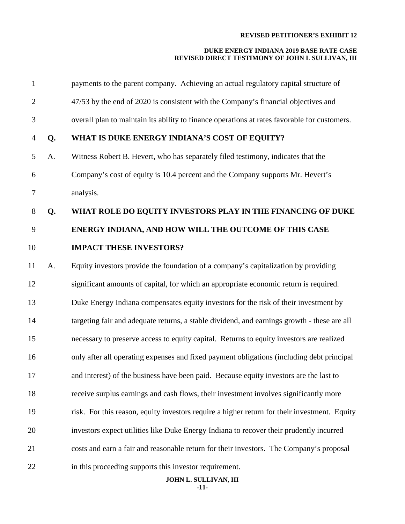# **DUKE ENERGY INDIANA 2019 BASE RATE CASE REVISED DIRECT TESTIMONY OF JOHN L SULLIVAN, III**

| $\mathbf{1}$   |    | payments to the parent company. Achieving an actual regulatory capital structure of          |
|----------------|----|----------------------------------------------------------------------------------------------|
| $\overline{2}$ |    | 47/53 by the end of 2020 is consistent with the Company's financial objectives and           |
| 3              |    | overall plan to maintain its ability to finance operations at rates favorable for customers. |
| $\overline{4}$ | Q. | WHAT IS DUKE ENERGY INDIANA'S COST OF EQUITY?                                                |
| 5              | A. | Witness Robert B. Hevert, who has separately filed testimony, indicates that the             |
| 6              |    | Company's cost of equity is 10.4 percent and the Company supports Mr. Hevert's               |
| 7              |    | analysis.                                                                                    |
| $8\phantom{.}$ | Q. | WHAT ROLE DO EQUITY INVESTORS PLAY IN THE FINANCING OF DUKE                                  |
| 9              |    | ENERGY INDIANA, AND HOW WILL THE OUTCOME OF THIS CASE                                        |
| 10             |    | <b>IMPACT THESE INVESTORS?</b>                                                               |
| 11             | A. | Equity investors provide the foundation of a company's capitalization by providing           |
| 12             |    | significant amounts of capital, for which an appropriate economic return is required.        |
| 13             |    | Duke Energy Indiana compensates equity investors for the risk of their investment by         |
| 14             |    | targeting fair and adequate returns, a stable dividend, and earnings growth - these are all  |
| 15             |    | necessary to preserve access to equity capital. Returns to equity investors are realized     |
| 16             |    | only after all operating expenses and fixed payment obligations (including debt principal    |
| 17             |    | and interest) of the business have been paid. Because equity investors are the last to       |
| 18             |    | receive surplus earnings and cash flows, their investment involves significantly more        |
| 19             |    | risk. For this reason, equity investors require a higher return for their investment. Equity |
| 20             |    | investors expect utilities like Duke Energy Indiana to recover their prudently incurred      |
| 21             |    | costs and earn a fair and reasonable return for their investors. The Company's proposal      |
| 22             |    | in this proceeding supports this investor requirement.<br>JOHN L. SULLIVAN, III              |

**-11-**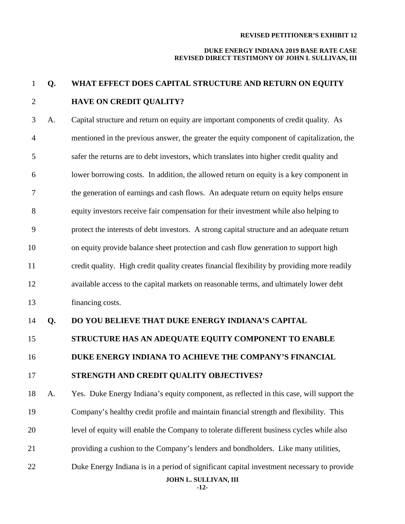#### **DUKE ENERGY INDIANA 2019 BASE RATE CASE REVISED DIRECT TESTIMONY OF JOHN L SULLIVAN, III**

# **Q. WHAT EFFECT DOES CAPITAL STRUCTURE AND RETURN ON EQUITY HAVE ON CREDIT QUALITY?**

 A. Capital structure and return on equity are important components of credit quality. As mentioned in the previous answer, the greater the equity component of capitalization, the safer the returns are to debt investors, which translates into higher credit quality and lower borrowing costs. In addition, the allowed return on equity is a key component in the generation of earnings and cash flows. An adequate return on equity helps ensure equity investors receive fair compensation for their investment while also helping to protect the interests of debt investors. A strong capital structure and an adequate return on equity provide balance sheet protection and cash flow generation to support high credit quality. High credit quality creates financial flexibility by providing more readily available access to the capital markets on reasonable terms, and ultimately lower debt financing costs.

# **Q. DO YOU BELIEVE THAT DUKE ENERGY INDIANA'S CAPITAL**

# **STRUCTURE HAS AN ADEQUATE EQUITY COMPONENT TO ENABLE**

**DUKE ENERGY INDIANA TO ACHIEVE THE COMPANY'S FINANCIAL** 

# **STRENGTH AND CREDIT QUALITY OBJECTIVES?**

 A. Yes. Duke Energy Indiana's equity component, as reflected in this case, will support the Company's healthy credit profile and maintain financial strength and flexibility. This level of equity will enable the Company to tolerate different business cycles while also providing a cushion to the Company's lenders and bondholders. Like many utilities, Duke Energy Indiana is in a period of significant capital investment necessary to provide

**JOHN L. SULLIVAN, III**

**-12-**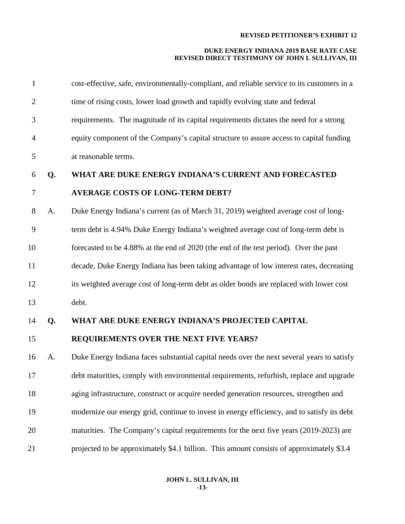## **DUKE ENERGY INDIANA 2019 BASE RATE CASE REVISED DIRECT TESTIMONY OF JOHN L SULLIVAN, III**

| $\mathbf{1}$   |    | cost-effective, safe, environmentally-compliant, and reliable service to its customers in a |
|----------------|----|---------------------------------------------------------------------------------------------|
| $\overline{2}$ |    | time of rising costs, lower load growth and rapidly evolving state and federal              |
| 3              |    | requirements. The magnitude of its capital requirements dictates the need for a strong      |
| $\overline{4}$ |    | equity component of the Company's capital structure to assure access to capital funding     |
| 5              |    | at reasonable terms.                                                                        |
| 6              | Q. | WHAT ARE DUKE ENERGY INDIANA'S CURRENT AND FORECASTED                                       |
| $\tau$         |    | <b>AVERAGE COSTS OF LONG-TERM DEBT?</b>                                                     |
| 8              | A. | Duke Energy Indiana's current (as of March 31, 2019) weighted average cost of long-         |
| 9              |    | term debt is 4.94% Duke Energy Indiana's weighted average cost of long-term debt is         |
| 10             |    | forecasted to be 4.88% at the end of 2020 (the end of the test period). Over the past       |
| 11             |    | decade, Duke Energy Indiana has been taking advantage of low interest rates, decreasing     |
| 12             |    | its weighted average cost of long-term debt as older bonds are replaced with lower cost     |
| 13             |    | debt.                                                                                       |
| 14             | Q. | WHAT ARE DUKE ENERGY INDIANA'S PROJECTED CAPITAL                                            |
| 15             |    | REQUIREMENTS OVER THE NEXT FIVE YEARS?                                                      |
| 16             | A. | Duke Energy Indiana faces substantial capital needs over the next several years to satisfy  |
| 17             |    | debt maturities, comply with environmental requirements, refurbish, replace and upgrade     |
| 18             |    | aging infrastructure, construct or acquire needed generation resources, strengthen and      |
| 19             |    | modernize our energy grid, continue to invest in energy efficiency, and to satisfy its debt |
| 20             |    | maturities. The Company's capital requirements for the next five years (2019-2023) are      |
| 21             |    | projected to be approximately \$4.1 billion. This amount consists of approximately \$3.4    |

#### **JOHN L. SULLIVAN, III -13-**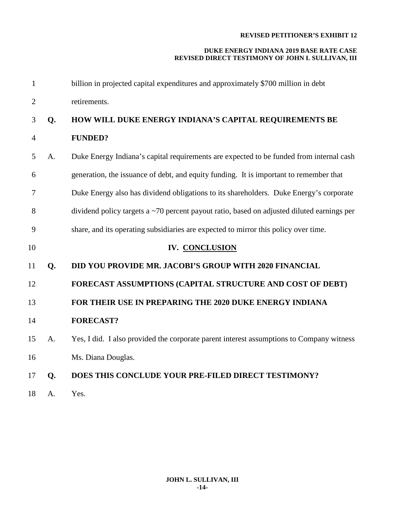| $\mathbf{1}$   |    | billion in projected capital expenditures and approximately \$700 million in debt          |
|----------------|----|--------------------------------------------------------------------------------------------|
| $\overline{2}$ |    | retirements.                                                                               |
| 3              | Q. | HOW WILL DUKE ENERGY INDIANA'S CAPITAL REQUIREMENTS BE                                     |
| $\overline{4}$ |    | <b>FUNDED?</b>                                                                             |
| 5              | A. | Duke Energy Indiana's capital requirements are expected to be funded from internal cash    |
| 6              |    | generation, the issuance of debt, and equity funding. It is important to remember that     |
| 7              |    | Duke Energy also has dividend obligations to its shareholders. Duke Energy's corporate     |
| 8              |    | dividend policy targets a ~70 percent payout ratio, based on adjusted diluted earnings per |
| 9              |    | share, and its operating subsidiaries are expected to mirror this policy over time.        |
| 10             |    | IV. CONCLUSION                                                                             |
| 11             | Q. | DID YOU PROVIDE MR. JACOBI'S GROUP WITH 2020 FINANCIAL                                     |
| 12             |    |                                                                                            |
|                |    | FORECAST ASSUMPTIONS (CAPITAL STRUCTURE AND COST OF DEBT)                                  |
| 13             |    | FOR THEIR USE IN PREPARING THE 2020 DUKE ENERGY INDIANA                                    |
| 14             |    | <b>FORECAST?</b>                                                                           |
| 15             | A. | Yes, I did. I also provided the corporate parent interest assumptions to Company witness   |
| 16             |    | Ms. Diana Douglas.                                                                         |
| 17             | Q. | DOES THIS CONCLUDE YOUR PRE-FILED DIRECT TESTIMONY?                                        |